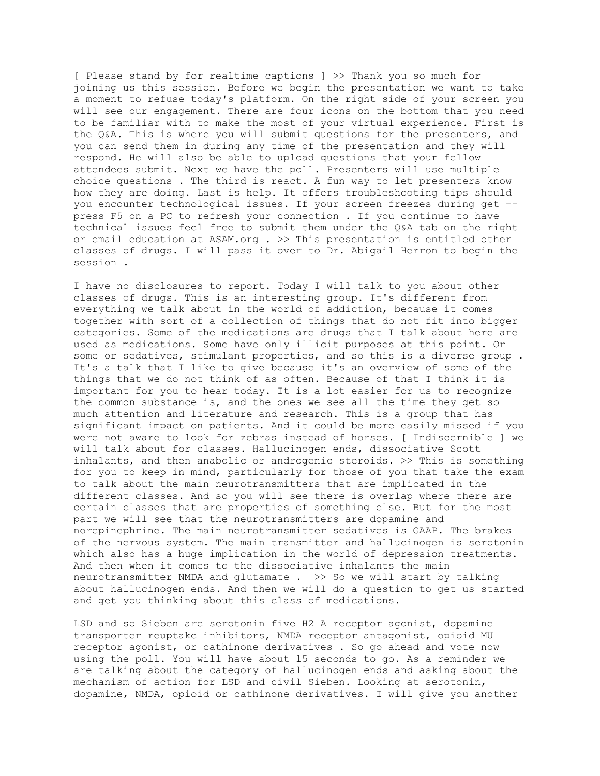[ Please stand by for realtime captions ] >> Thank you so much for joining us this session. Before we begin the presentation we want to take a moment to refuse today's platform. On the right side of your screen you will see our engagement. There are four icons on the bottom that you need to be familiar with to make the most of your virtual experience. First is the Q&A. This is where you will submit questions for the presenters, and you can send them in during any time of the presentation and they will respond. He will also be able to upload questions that your fellow attendees submit. Next we have the poll. Presenters will use multiple choice questions . The third is react. A fun way to let presenters know how they are doing. Last is help. It offers troubleshooting tips should you encounter technological issues. If your screen freezes during get - press F5 on a PC to refresh your connection . If you continue to have technical issues feel free to submit them under the Q&A tab on the right or email education at ASAM.org . >> This presentation is entitled other classes of drugs. I will pass it over to Dr. Abigail Herron to begin the session .

I have no disclosures to report. Today I will talk to you about other classes of drugs. This is an interesting group. It's different from everything we talk about in the world of addiction, because it comes together with sort of a collection of things that do not fit into bigger categories. Some of the medications are drugs that I talk about here are used as medications. Some have only illicit purposes at this point. Or some or sedatives, stimulant properties, and so this is a diverse group . It's a talk that I like to give because it's an overview of some of the things that we do not think of as often. Because of that I think it is important for you to hear today. It is a lot easier for us to recognize the common substance is, and the ones we see all the time they get so much attention and literature and research. This is a group that has significant impact on patients. And it could be more easily missed if you were not aware to look for zebras instead of horses. [ Indiscernible ] we will talk about for classes. Hallucinogen ends, dissociative Scott inhalants, and then anabolic or androgenic steroids. >> This is something for you to keep in mind, particularly for those of you that take the exam to talk about the main neurotransmitters that are implicated in the different classes. And so you will see there is overlap where there are certain classes that are properties of something else. But for the most part we will see that the neurotransmitters are dopamine and norepinephrine. The main neurotransmitter sedatives is GAAP. The brakes of the nervous system. The main transmitter and hallucinogen is serotonin which also has a huge implication in the world of depression treatments. And then when it comes to the dissociative inhalants the main neurotransmitter NMDA and glutamate . >> So we will start by talking about hallucinogen ends. And then we will do a question to get us started and get you thinking about this class of medications.

LSD and so Sieben are serotonin five H2 A receptor agonist, dopamine transporter reuptake inhibitors, NMDA receptor antagonist, opioid MU receptor agonist, or cathinone derivatives . So go ahead and vote now using the poll. You will have about 15 seconds to go. As a reminder we are talking about the category of hallucinogen ends and asking about the mechanism of action for LSD and civil Sieben. Looking at serotonin, dopamine, NMDA, opioid or cathinone derivatives. I will give you another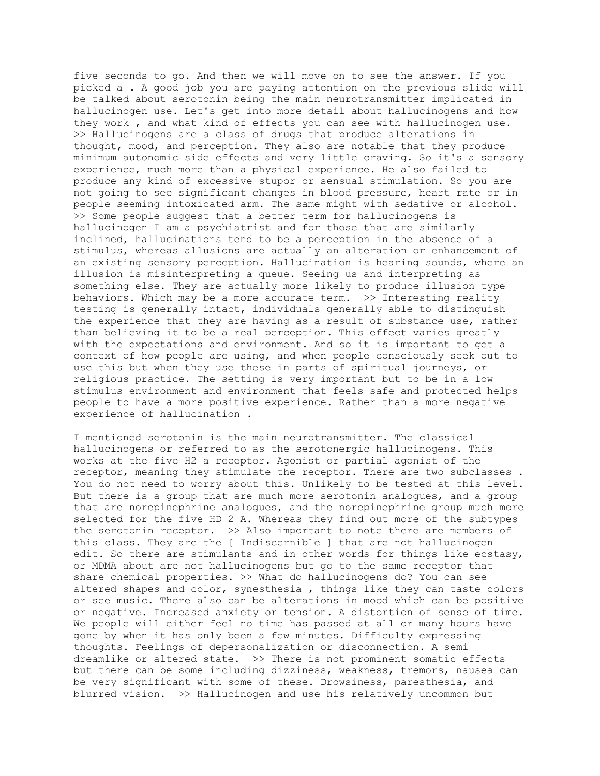five seconds to go. And then we will move on to see the answer. If you picked a . A good job you are paying attention on the previous slide will be talked about serotonin being the main neurotransmitter implicated in hallucinogen use. Let's get into more detail about hallucinogens and how they work , and what kind of effects you can see with hallucinogen use. >> Hallucinogens are a class of drugs that produce alterations in thought, mood, and perception. They also are notable that they produce minimum autonomic side effects and very little craving. So it's a sensory experience, much more than a physical experience. He also failed to produce any kind of excessive stupor or sensual stimulation. So you are not going to see significant changes in blood pressure, heart rate or in people seeming intoxicated arm. The same might with sedative or alcohol. >> Some people suggest that a better term for hallucinogens is hallucinogen I am a psychiatrist and for those that are similarly inclined, hallucinations tend to be a perception in the absence of a stimulus, whereas allusions are actually an alteration or enhancement of an existing sensory perception. Hallucination is hearing sounds, where an illusion is misinterpreting a queue. Seeing us and interpreting as something else. They are actually more likely to produce illusion type behaviors. Which may be a more accurate term. >> Interesting reality testing is generally intact, individuals generally able to distinguish the experience that they are having as a result of substance use, rather than believing it to be a real perception. This effect varies greatly with the expectations and environment. And so it is important to get a context of how people are using, and when people consciously seek out to use this but when they use these in parts of spiritual journeys, or religious practice. The setting is very important but to be in a low stimulus environment and environment that feels safe and protected helps people to have a more positive experience. Rather than a more negative experience of hallucination .

I mentioned serotonin is the main neurotransmitter. The classical hallucinogens or referred to as the serotonergic hallucinogens. This works at the five H2 a receptor. Agonist or partial agonist of the receptor, meaning they stimulate the receptor. There are two subclasses . You do not need to worry about this. Unlikely to be tested at this level. But there is a group that are much more serotonin analogues, and a group that are norepinephrine analogues, and the norepinephrine group much more selected for the five HD 2 A. Whereas they find out more of the subtypes the serotonin receptor. >> Also important to note there are members of this class. They are the [ Indiscernible ] that are not hallucinogen edit. So there are stimulants and in other words for things like ecstasy, or MDMA about are not hallucinogens but go to the same receptor that share chemical properties. >> What do hallucinogens do? You can see altered shapes and color, synesthesia , things like they can taste colors or see music. There also can be alterations in mood which can be positive or negative. Increased anxiety or tension. A distortion of sense of time. We people will either feel no time has passed at all or many hours have gone by when it has only been a few minutes. Difficulty expressing thoughts. Feelings of depersonalization or disconnection. A semi dreamlike or altered state. >> There is not prominent somatic effects but there can be some including dizziness, weakness, tremors, nausea can be very significant with some of these. Drowsiness, paresthesia, and blurred vision. >> Hallucinogen and use his relatively uncommon but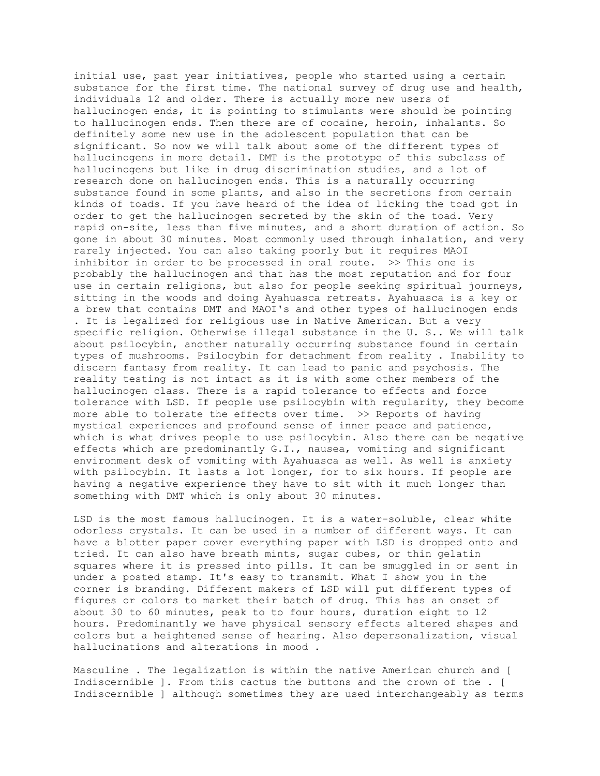initial use, past year initiatives, people who started using a certain substance for the first time. The national survey of drug use and health, individuals 12 and older. There is actually more new users of hallucinogen ends, it is pointing to stimulants were should be pointing to hallucinogen ends. Then there are of cocaine, heroin, inhalants. So definitely some new use in the adolescent population that can be significant. So now we will talk about some of the different types of hallucinogens in more detail. DMT is the prototype of this subclass of hallucinogens but like in drug discrimination studies, and a lot of research done on hallucinogen ends. This is a naturally occurring substance found in some plants, and also in the secretions from certain kinds of toads. If you have heard of the idea of licking the toad got in order to get the hallucinogen secreted by the skin of the toad. Very rapid on-site, less than five minutes, and a short duration of action. So gone in about 30 minutes. Most commonly used through inhalation, and very rarely injected. You can also taking poorly but it requires MAOI inhibitor in order to be processed in oral route. >> This one is probably the hallucinogen and that has the most reputation and for four use in certain religions, but also for people seeking spiritual journeys, sitting in the woods and doing Ayahuasca retreats. Ayahuasca is a key or a brew that contains DMT and MAOI's and other types of hallucinogen ends . It is legalized for religious use in Native American. But a very specific religion. Otherwise illegal substance in the U. S.. We will talk about psilocybin, another naturally occurring substance found in certain types of mushrooms. Psilocybin for detachment from reality . Inability to discern fantasy from reality. It can lead to panic and psychosis. The reality testing is not intact as it is with some other members of the hallucinogen class. There is a rapid tolerance to effects and force tolerance with LSD. If people use psilocybin with regularity, they become more able to tolerate the effects over time. >> Reports of having mystical experiences and profound sense of inner peace and patience, which is what drives people to use psilocybin. Also there can be negative effects which are predominantly G.I., nausea, vomiting and significant environment desk of vomiting with Ayahuasca as well. As well is anxiety with psilocybin. It lasts a lot longer, for to six hours. If people are having a negative experience they have to sit with it much longer than something with DMT which is only about 30 minutes.

LSD is the most famous hallucinogen. It is a water-soluble, clear white odorless crystals. It can be used in a number of different ways. It can have a blotter paper cover everything paper with LSD is dropped onto and tried. It can also have breath mints, sugar cubes, or thin gelatin squares where it is pressed into pills. It can be smuggled in or sent in under a posted stamp. It's easy to transmit. What I show you in the corner is branding. Different makers of LSD will put different types of figures or colors to market their batch of drug. This has an onset of about 30 to 60 minutes, peak to to four hours, duration eight to 12 hours. Predominantly we have physical sensory effects altered shapes and colors but a heightened sense of hearing. Also depersonalization, visual hallucinations and alterations in mood .

Masculine . The legalization is within the native American church and [ Indiscernible ]. From this cactus the buttons and the crown of the . [ Indiscernible ] although sometimes they are used interchangeably as terms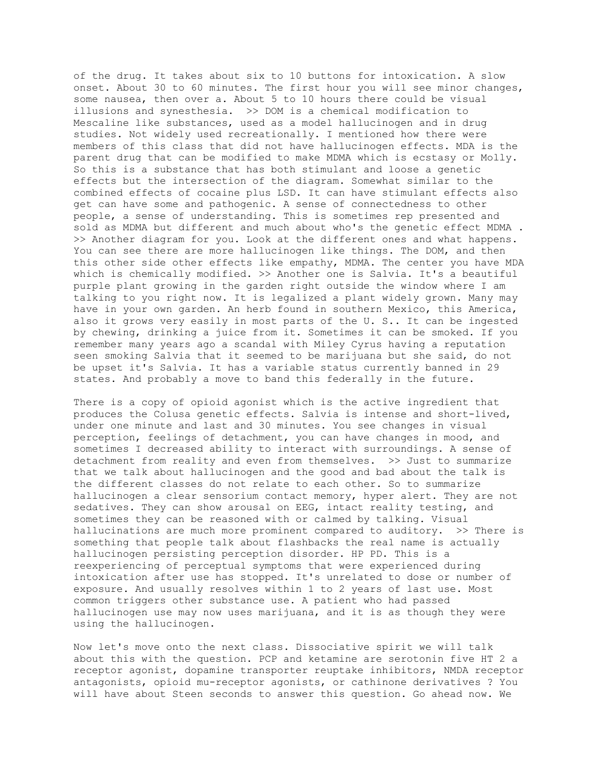of the drug. It takes about six to 10 buttons for intoxication. A slow onset. About 30 to 60 minutes. The first hour you will see minor changes, some nausea, then over a. About 5 to 10 hours there could be visual illusions and synesthesia. >> DOM is a chemical modification to Mescaline like substances, used as a model hallucinogen and in drug studies. Not widely used recreationally. I mentioned how there were members of this class that did not have hallucinogen effects. MDA is the parent drug that can be modified to make MDMA which is ecstasy or Molly. So this is a substance that has both stimulant and loose a genetic effects but the intersection of the diagram. Somewhat similar to the combined effects of cocaine plus LSD. It can have stimulant effects also get can have some and pathogenic. A sense of connectedness to other people, a sense of understanding. This is sometimes rep presented and sold as MDMA but different and much about who's the genetic effect MDMA . >> Another diagram for you. Look at the different ones and what happens. You can see there are more hallucinogen like things. The DOM, and then this other side other effects like empathy, MDMA. The center you have MDA which is chemically modified. >> Another one is Salvia. It's a beautiful purple plant growing in the garden right outside the window where I am talking to you right now. It is legalized a plant widely grown. Many may have in your own garden. An herb found in southern Mexico, this America, also it grows very easily in most parts of the U. S.. It can be ingested by chewing, drinking a juice from it. Sometimes it can be smoked. If you remember many years ago a scandal with Miley Cyrus having a reputation seen smoking Salvia that it seemed to be marijuana but she said, do not be upset it's Salvia. It has a variable status currently banned in 29 states. And probably a move to band this federally in the future.

There is a copy of opioid agonist which is the active ingredient that produces the Colusa genetic effects. Salvia is intense and short-lived, under one minute and last and 30 minutes. You see changes in visual perception, feelings of detachment, you can have changes in mood, and sometimes I decreased ability to interact with surroundings. A sense of detachment from reality and even from themselves. >> Just to summarize that we talk about hallucinogen and the good and bad about the talk is the different classes do not relate to each other. So to summarize hallucinogen a clear sensorium contact memory, hyper alert. They are not sedatives. They can show arousal on EEG, intact reality testing, and sometimes they can be reasoned with or calmed by talking. Visual hallucinations are much more prominent compared to auditory. >> There is something that people talk about flashbacks the real name is actually hallucinogen persisting perception disorder. HP PD. This is a reexperiencing of perceptual symptoms that were experienced during intoxication after use has stopped. It's unrelated to dose or number of exposure. And usually resolves within 1 to 2 years of last use. Most common triggers other substance use. A patient who had passed hallucinogen use may now uses marijuana, and it is as though they were using the hallucinogen.

Now let's move onto the next class. Dissociative spirit we will talk about this with the question. PCP and ketamine are serotonin five HT 2 a receptor agonist, dopamine transporter reuptake inhibitors, NMDA receptor antagonists, opioid mu-receptor agonists, or cathinone derivatives ? You will have about Steen seconds to answer this question. Go ahead now. We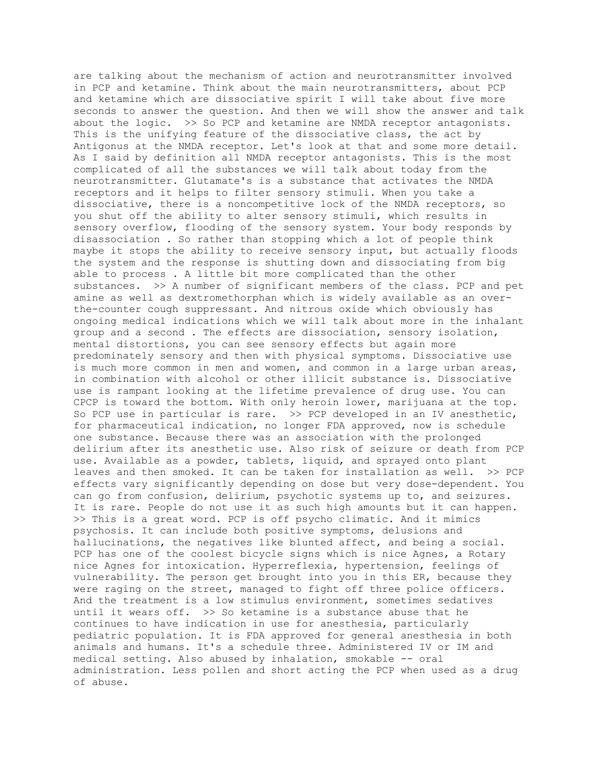are talking about the mechanism of action and neurotransmitter involved in PCP and ketamine. Think about the main neurotransmitters, about PCP and ketamine which are dissociative spirit I will take about five more seconds to answer the question. And then we will show the answer and talk about the logic. >> So PCP and ketamine are NMDA receptor antagonists. This is the unifying feature of the dissociative class, the act by Antigonus at the NMDA receptor. Let's look at that and some more detail. As I said by definition all NMDA receptor antagonists. This is the most complicated of all the substances we will talk about today from the neurotransmitter. Glutamate's is a substance that activates the NMDA receptors and it helps to filter sensory stimuli. When you take a dissociative, there is a noncompetitive lock of the NMDA receptors, so you shut off the ability to alter sensory stimuli, which results in sensory overflow, flooding of the sensory system. Your body responds by disassociation . So rather than stopping which a lot of people think maybe it stops the ability to receive sensory input, but actually floods the system and the response is shutting down and dissociating from big able to process . A little bit more complicated than the other substances. >> A number of significant members of the class. PCP and pet amine as well as dextromethorphan which is widely available as an overthe-counter cough suppressant. And nitrous oxide which obviously has ongoing medical indications which we will talk about more in the inhalant group and a second . The effects are dissociation, sensory isolation, mental distortions, you can see sensory effects but again more predominately sensory and then with physical symptoms. Dissociative use is much more common in men and women, and common in a large urban areas, in combination with alcohol or other illicit substance is. Dissociative use is rampant looking at the lifetime prevalence of drug use. You can CPCP is toward the bottom. With only heroin lower, marijuana at the top. So PCP use in particular is rare. >> PCP developed in an IV anesthetic, for pharmaceutical indication, no longer FDA approved, now is schedule one substance. Because there was an association with the prolonged delirium after its anesthetic use. Also risk of seizure or death from PCP use. Available as a powder, tablets, liquid, and sprayed onto plant leaves and then smoked. It can be taken for installation as well. >> PCP effects vary significantly depending on dose but very dose-dependent. You can go from confusion, delirium, psychotic systems up to, and seizures. It is rare. People do not use it as such high amounts but it can happen. >> This is a great word. PCP is off psycho climatic. And it mimics psychosis. It can include both positive symptoms, delusions and hallucinations, the negatives like blunted affect, and being a social. PCP has one of the coolest bicycle signs which is nice Agnes, a Rotary nice Agnes for intoxication. Hyperreflexia, hypertension, feelings of vulnerability. The person get brought into you in this ER, because they were raging on the street, managed to fight off three police officers. And the treatment is a low stimulus environment, sometimes sedatives until it wears off. >> So ketamine is a substance abuse that he continues to have indication in use for anesthesia, particularly pediatric population. It is FDA approved for general anesthesia in both animals and humans. It's a schedule three. Administered IV or IM and medical setting. Also abused by inhalation, smokable -- oral administration. Less pollen and short acting the PCP when used as a drug of abuse.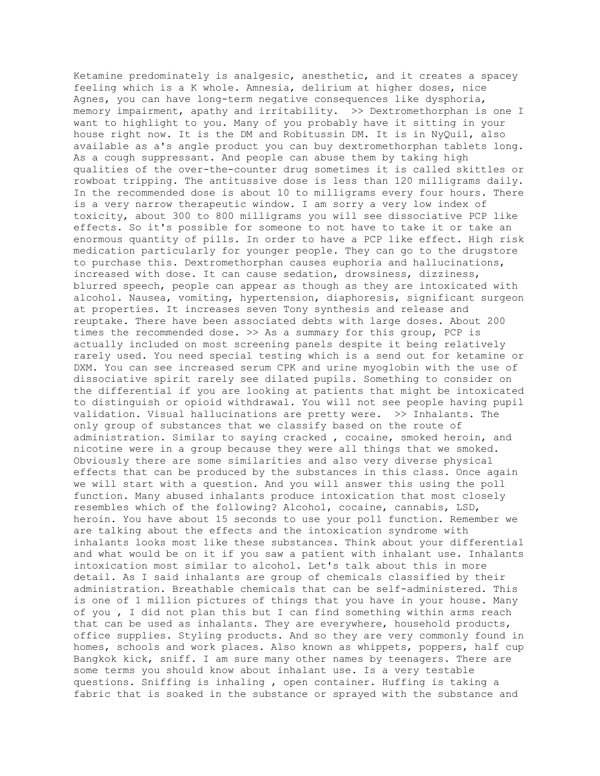Ketamine predominately is analgesic, anesthetic, and it creates a spacey feeling which is a K whole. Amnesia, delirium at higher doses, nice Agnes, you can have long-term negative consequences like dysphoria, memory impairment, apathy and irritability. >> Dextromethorphan is one I want to highlight to you. Many of you probably have it sitting in your house right now. It is the DM and Robitussin DM. It is in NyQuil, also available as a's angle product you can buy dextromethorphan tablets long. As a cough suppressant. And people can abuse them by taking high qualities of the over-the-counter drug sometimes it is called skittles or rowboat tripping. The antitussive dose is less than 120 milligrams daily. In the recommended dose is about 10 to milligrams every four hours. There is a very narrow therapeutic window. I am sorry a very low index of toxicity, about 300 to 800 milligrams you will see dissociative PCP like effects. So it's possible for someone to not have to take it or take an enormous quantity of pills. In order to have a PCP like effect. High risk medication particularly for younger people. They can go to the drugstore to purchase this. Dextromethorphan causes euphoria and hallucinations, increased with dose. It can cause sedation, drowsiness, dizziness, blurred speech, people can appear as though as they are intoxicated with alcohol. Nausea, vomiting, hypertension, diaphoresis, significant surgeon at properties. It increases seven Tony synthesis and release and reuptake. There have been associated debts with large doses. About 200 times the recommended dose. >> As a summary for this group, PCP is actually included on most screening panels despite it being relatively rarely used. You need special testing which is a send out for ketamine or DXM. You can see increased serum CPK and urine myoglobin with the use of dissociative spirit rarely see dilated pupils. Something to consider on the differential if you are looking at patients that might be intoxicated to distinguish or opioid withdrawal. You will not see people having pupil validation. Visual hallucinations are pretty were. >> Inhalants. The only group of substances that we classify based on the route of administration. Similar to saying cracked , cocaine, smoked heroin, and nicotine were in a group because they were all things that we smoked. Obviously there are some similarities and also very diverse physical effects that can be produced by the substances in this class. Once again we will start with a question. And you will answer this using the poll function. Many abused inhalants produce intoxication that most closely resembles which of the following? Alcohol, cocaine, cannabis, LSD, heroin. You have about 15 seconds to use your poll function. Remember we are talking about the effects and the intoxication syndrome with inhalants looks most like these substances. Think about your differential and what would be on it if you saw a patient with inhalant use. Inhalants intoxication most similar to alcohol. Let's talk about this in more detail. As I said inhalants are group of chemicals classified by their administration. Breathable chemicals that can be self-administered. This is one of 1 million pictures of things that you have in your house. Many of you , I did not plan this but I can find something within arms reach that can be used as inhalants. They are everywhere, household products, office supplies. Styling products. And so they are very commonly found in homes, schools and work places. Also known as whippets, poppers, half cup Bangkok kick, sniff. I am sure many other names by teenagers. There are some terms you should know about inhalant use. Is a very testable questions. Sniffing is inhaling , open container. Huffing is taking a fabric that is soaked in the substance or sprayed with the substance and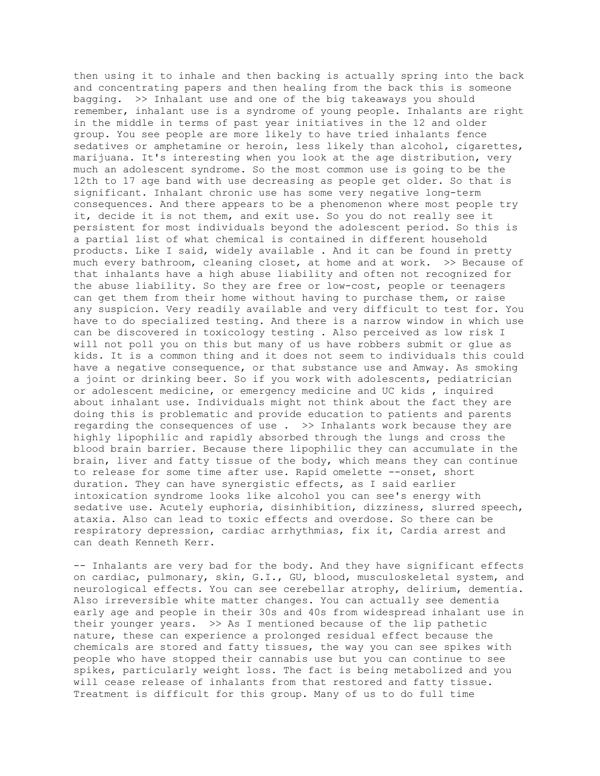then using it to inhale and then backing is actually spring into the back and concentrating papers and then healing from the back this is someone bagging. >> Inhalant use and one of the big takeaways you should remember, inhalant use is a syndrome of young people. Inhalants are right in the middle in terms of past year initiatives in the 12 and older group. You see people are more likely to have tried inhalants fence sedatives or amphetamine or heroin, less likely than alcohol, cigarettes, marijuana. It's interesting when you look at the age distribution, very much an adolescent syndrome. So the most common use is going to be the 12th to 17 age band with use decreasing as people get older. So that is significant. Inhalant chronic use has some very negative long-term consequences. And there appears to be a phenomenon where most people try it, decide it is not them, and exit use. So you do not really see it persistent for most individuals beyond the adolescent period. So this is a partial list of what chemical is contained in different household products. Like I said, widely available . And it can be found in pretty much every bathroom, cleaning closet, at home and at work. >> Because of that inhalants have a high abuse liability and often not recognized for the abuse liability. So they are free or low-cost, people or teenagers can get them from their home without having to purchase them, or raise any suspicion. Very readily available and very difficult to test for. You have to do specialized testing. And there is a narrow window in which use can be discovered in toxicology testing . Also perceived as low risk I will not poll you on this but many of us have robbers submit or glue as kids. It is a common thing and it does not seem to individuals this could have a negative consequence, or that substance use and Amway. As smoking a joint or drinking beer. So if you work with adolescents, pediatrician or adolescent medicine, or emergency medicine and UC kids , inquired about inhalant use. Individuals might not think about the fact they are doing this is problematic and provide education to patients and parents regarding the consequences of use . >> Inhalants work because they are highly lipophilic and rapidly absorbed through the lungs and cross the blood brain barrier. Because there lipophilic they can accumulate in the brain, liver and fatty tissue of the body, which means they can continue to release for some time after use. Rapid omelette --onset, short duration. They can have synergistic effects, as I said earlier intoxication syndrome looks like alcohol you can see's energy with sedative use. Acutely euphoria, disinhibition, dizziness, slurred speech, ataxia. Also can lead to toxic effects and overdose. So there can be respiratory depression, cardiac arrhythmias, fix it, Cardia arrest and can death Kenneth Kerr.

-- Inhalants are very bad for the body. And they have significant effects on cardiac, pulmonary, skin, G.I., GU, blood, musculoskeletal system, and neurological effects. You can see cerebellar atrophy, delirium, dementia. Also irreversible white matter changes. You can actually see dementia early age and people in their 30s and 40s from widespread inhalant use in their younger years. >> As I mentioned because of the lip pathetic nature, these can experience a prolonged residual effect because the chemicals are stored and fatty tissues, the way you can see spikes with people who have stopped their cannabis use but you can continue to see spikes, particularly weight loss. The fact is being metabolized and you will cease release of inhalants from that restored and fatty tissue. Treatment is difficult for this group. Many of us to do full time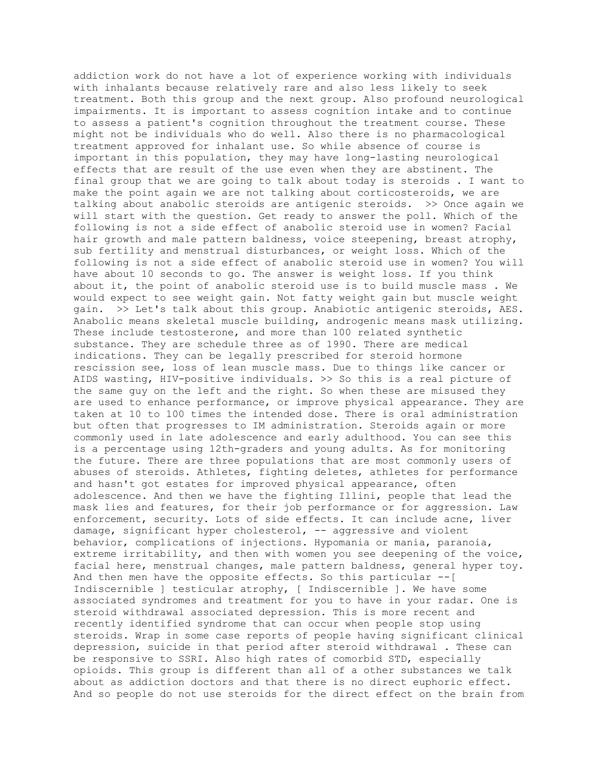addiction work do not have a lot of experience working with individuals with inhalants because relatively rare and also less likely to seek treatment. Both this group and the next group. Also profound neurological impairments. It is important to assess cognition intake and to continue to assess a patient's cognition throughout the treatment course. These might not be individuals who do well. Also there is no pharmacological treatment approved for inhalant use. So while absence of course is important in this population, they may have long-lasting neurological effects that are result of the use even when they are abstinent. The final group that we are going to talk about today is steroids . I want to make the point again we are not talking about corticosteroids, we are talking about anabolic steroids are antigenic steroids. >> Once again we will start with the question. Get ready to answer the poll. Which of the following is not a side effect of anabolic steroid use in women? Facial hair growth and male pattern baldness, voice steepening, breast atrophy, sub fertility and menstrual disturbances, or weight loss. Which of the following is not a side effect of anabolic steroid use in women? You will have about 10 seconds to go. The answer is weight loss. If you think about it, the point of anabolic steroid use is to build muscle mass . We would expect to see weight gain. Not fatty weight gain but muscle weight gain. >> Let's talk about this group. Anabiotic antigenic steroids, AES. Anabolic means skeletal muscle building, androgenic means mask utilizing. These include testosterone, and more than 100 related synthetic substance. They are schedule three as of 1990. There are medical indications. They can be legally prescribed for steroid hormone rescission see, loss of lean muscle mass. Due to things like cancer or AIDS wasting, HIV-positive individuals. >> So this is a real picture of the same guy on the left and the right. So when these are misused they are used to enhance performance, or improve physical appearance. They are taken at 10 to 100 times the intended dose. There is oral administration but often that progresses to IM administration. Steroids again or more commonly used in late adolescence and early adulthood. You can see this is a percentage using 12th-graders and young adults. As for monitoring the future. There are three populations that are most commonly users of abuses of steroids. Athletes, fighting deletes, athletes for performance and hasn't got estates for improved physical appearance, often adolescence. And then we have the fighting Illini, people that lead the mask lies and features, for their job performance or for aggression. Law enforcement, security. Lots of side effects. It can include acne, liver damage, significant hyper cholesterol, -- aggressive and violent behavior, complications of injections. Hypomania or mania, paranoia, extreme irritability, and then with women you see deepening of the voice, facial here, menstrual changes, male pattern baldness, general hyper toy. And then men have the opposite effects. So this particular --[ Indiscernible ] testicular atrophy, [ Indiscernible ]. We have some associated syndromes and treatment for you to have in your radar. One is steroid withdrawal associated depression. This is more recent and recently identified syndrome that can occur when people stop using steroids. Wrap in some case reports of people having significant clinical depression, suicide in that period after steroid withdrawal . These can be responsive to SSRI. Also high rates of comorbid STD, especially opioids. This group is different than all of a other substances we talk about as addiction doctors and that there is no direct euphoric effect. And so people do not use steroids for the direct effect on the brain from